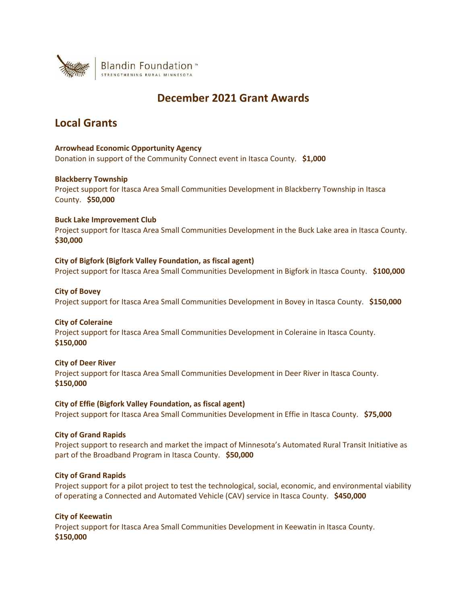

# **December 2021 Grant Awards**

# **Local Grants**

# **Arrowhead Economic Opportunity Agency**

Donation in support of the Community Connect event in Itasca County. **\$1,000**

## **Blackberry Township**

Project support for Itasca Area Small Communities Development in Blackberry Township in Itasca County. **\$50,000**

# **Buck Lake Improvement Club**

Project support for Itasca Area Small Communities Development in the Buck Lake area in Itasca County. **\$30,000**

# **City of Bigfork (Bigfork Valley Foundation, as fiscal agent)**

Project support for Itasca Area Small Communities Development in Bigfork in Itasca County. **\$100,000**

## **City of Bovey**

Project support for Itasca Area Small Communities Development in Bovey in Itasca County. **\$150,000**

## **City of Coleraine**

Project support for Itasca Area Small Communities Development in Coleraine in Itasca County. **\$150,000**

# **City of Deer River**

Project support for Itasca Area Small Communities Development in Deer River in Itasca County. **\$150,000**

# **City of Effie (Bigfork Valley Foundation, as fiscal agent)**

Project support for Itasca Area Small Communities Development in Effie in Itasca County. **\$75,000**

## **City of Grand Rapids**

Project support to research and market the impact of Minnesota's Automated Rural Transit Initiative as part of the Broadband Program in Itasca County. **\$50,000**

## **City of Grand Rapids**

Project support for a pilot project to test the technological, social, economic, and environmental viability of operating a Connected and Automated Vehicle (CAV) service in Itasca County. **\$450,000**

## **City of Keewatin**

Project support for Itasca Area Small Communities Development in Keewatin in Itasca County. **\$150,000**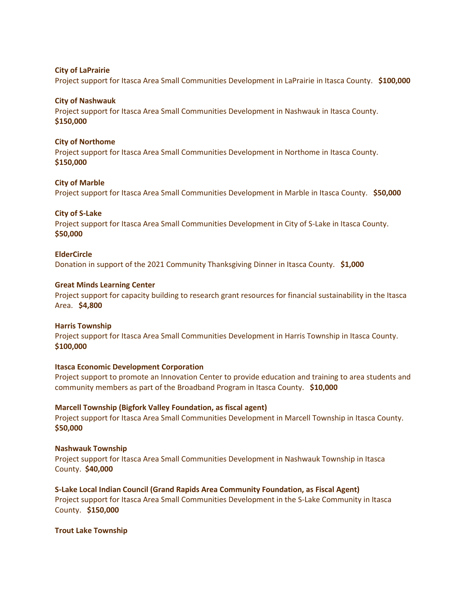## **City of LaPrairie**

Project support for Itasca Area Small Communities Development in LaPrairie in Itasca County. **\$100,000**

## **City of Nashwauk**

Project support for Itasca Area Small Communities Development in Nashwauk in Itasca County. **\$150,000**

### **City of Northome**

Project support for Itasca Area Small Communities Development in Northome in Itasca County. **\$150,000**

### **City of Marble**

Project support for Itasca Area Small Communities Development in Marble in Itasca County. **\$50,000**

## **City of S-Lake**

Project support for Itasca Area Small Communities Development in City of S-Lake in Itasca County. **\$50,000**

#### **ElderCircle**

Donation in support of the 2021 Community Thanksgiving Dinner in Itasca County. **\$1,000**

## **Great Minds Learning Center**

Project support for capacity building to research grant resources for financial sustainability in the Itasca Area. **\$4,800**

#### **Harris Township**

Project support for Itasca Area Small Communities Development in Harris Township in Itasca County. **\$100,000**

#### **Itasca Economic Development Corporation**

Project support to promote an Innovation Center to provide education and training to area students and community members as part of the Broadband Program in Itasca County. **\$10,000**

#### **Marcell Township (Bigfork Valley Foundation, as fiscal agent)**

Project support for Itasca Area Small Communities Development in Marcell Township in Itasca County. **\$50,000**

## **Nashwauk Township**

Project support for Itasca Area Small Communities Development in Nashwauk Township in Itasca County. **\$40,000**

# **S-Lake Local Indian Council (Grand Rapids Area Community Foundation, as Fiscal Agent)**

Project support for Itasca Area Small Communities Development in the S-Lake Community in Itasca County. **\$150,000**

### **Trout Lake Township**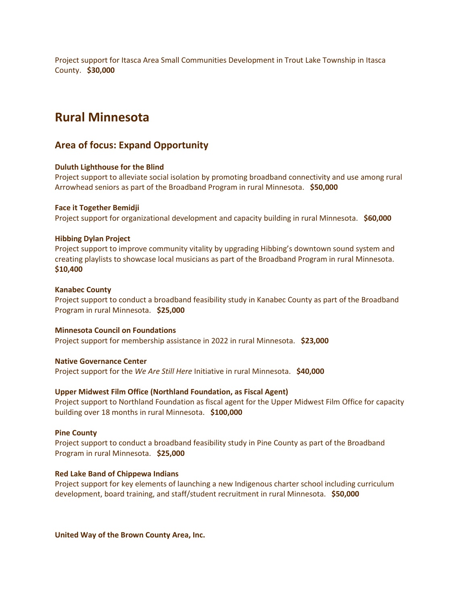Project support for Itasca Area Small Communities Development in Trout Lake Township in Itasca County. **\$30,000**

# **Rural Minnesota**

# **Area of focus: Expand Opportunity**

## **Duluth Lighthouse for the Blind**

Project support to alleviate social isolation by promoting broadband connectivity and use among rural Arrowhead seniors as part of the Broadband Program in rural Minnesota. **\$50,000**

## **Face it Together Bemidji**

Project support for organizational development and capacity building in rural Minnesota. **\$60,000**

## **Hibbing Dylan Project**

Project support to improve community vitality by upgrading Hibbing's downtown sound system and creating playlists to showcase local musicians as part of the Broadband Program in rural Minnesota. **\$10,400**

## **Kanabec County**

Project support to conduct a broadband feasibility study in Kanabec County as part of the Broadband Program in rural Minnesota. **\$25,000**

## **Minnesota Council on Foundations**

Project support for membership assistance in 2022 in rural Minnesota. **\$23,000**

# **Native Governance Center**

Project support for the *We Are Still Here* Initiative in rural Minnesota. **\$40,000**

## **Upper Midwest Film Office (Northland Foundation, as Fiscal Agent)**

Project support to Northland Foundation as fiscal agent for the Upper Midwest Film Office for capacity building over 18 months in rural Minnesota. **\$100,000**

## **Pine County**

Project support to conduct a broadband feasibility study in Pine County as part of the Broadband Program in rural Minnesota. **\$25,000**

## **Red Lake Band of Chippewa Indians**

Project support for key elements of launching a new Indigenous charter school including curriculum development, board training, and staff/student recruitment in rural Minnesota. **\$50,000**

**United Way of the Brown County Area, Inc.**